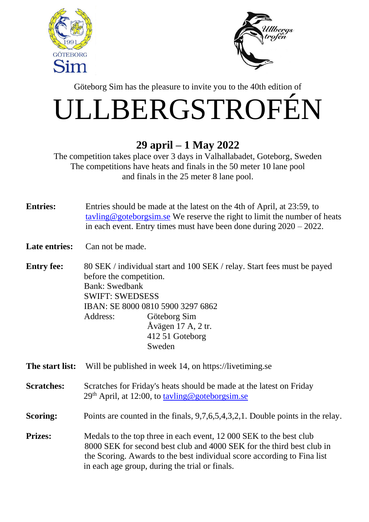



Göteborg Sim has the pleasure to invite you to the 40th edition of

## ULLBERGSTROFÉN

## **29 april – 1 May 2022**

The competition takes place over 3 days in Valhallabadet, Goteborg, Sweden The competitions have heats and finals in the 50 meter 10 lane pool and finals in the 25 meter 8 lane pool.

| <b>Entries:</b> | Entries should be made at the latest on the 4th of April, at 23:59, to    |
|-----------------|---------------------------------------------------------------------------|
|                 |                                                                           |
|                 | tayling @goteborgsim.se We reserve the right to limit the number of heats |
|                 | in each event. Entry times must have been done during $2020 - 2022$ .     |
|                 |                                                                           |

Late entries: Can not be made.

**Entry fee:** 80 SEK / individual start and 100 SEK / relay. Start fees must be payed before the competition. Bank: Swedbank SWIFT: SWEDSESS IBAN: SE 8000 0810 5900 3297 6862 Address: Göteborg Sim Åvägen 17 A, 2 tr. 412 51 Goteborg Sweden

**The start list:** Will be published in week 14, on [https://livetiming.se](https://livetiming.se/index.php?cid=)

**Scratches:** Scratches for Friday's heats should be made at the latest on Friday  $29<sup>th</sup>$  April, at 12:00, to tayling@goteborgsim.se

**Scoring:** Points are counted in the finals, 9,7,6,5,4,3,2,1. Double points in the relay.

**Prizes:** Medals to the top three in each event, 12 000 SEK to the best club 8000 SEK for second best club and 4000 SEK for the third best club in the Scoring. Awards to the best individual score according to Fina list in each age group, during the trial or finals.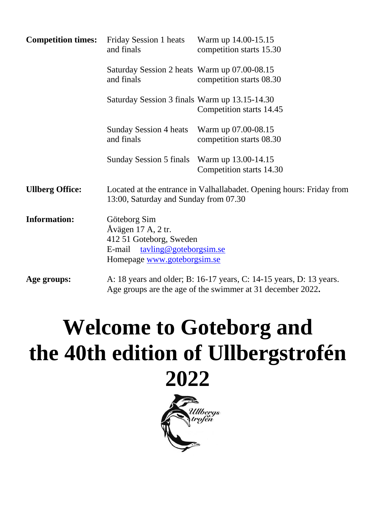| <b>Competition times:</b> | <b>Friday Session 1 heats</b><br>and finals                                                                                      | Warm up 14.00-15.15<br>competition starts 15.30                                                                                   |  |  |  |
|---------------------------|----------------------------------------------------------------------------------------------------------------------------------|-----------------------------------------------------------------------------------------------------------------------------------|--|--|--|
|                           | Saturday Session 2 heats Warm up 07.00-08.15<br>and finals                                                                       | competition starts 08.30                                                                                                          |  |  |  |
|                           | Saturday Session 3 finals Warm up 13.15-14.30                                                                                    | Competition starts 14.45                                                                                                          |  |  |  |
|                           | Sunday Session 4 heats Warm up 07.00-08.15<br>and finals                                                                         | competition starts 08.30                                                                                                          |  |  |  |
|                           | <b>Sunday Session 5 finals</b>                                                                                                   | Warm up 13.00-14.15<br>Competition starts 14.30                                                                                   |  |  |  |
| <b>Ullberg Office:</b>    | Located at the entrance in Valhallabadet. Opening hours: Friday from<br>13:00, Saturday and Sunday from 07.30                    |                                                                                                                                   |  |  |  |
| <b>Information:</b>       | Göteborg Sim<br>Åvägen 17 A, 2 tr.<br>412 51 Goteborg, Sweden<br>E-mail<br>tayling@goteborgsim.se<br>Homepage www.goteborgsim.se |                                                                                                                                   |  |  |  |
| Age groups:               |                                                                                                                                  | A: 18 years and older; B: 16-17 years, C: 14-15 years, D: 13 years.<br>Age groups are the age of the swimmer at 31 december 2022. |  |  |  |

## **Welcome to Goteborg and the 40th edition of Ullbergstrofén 2022**